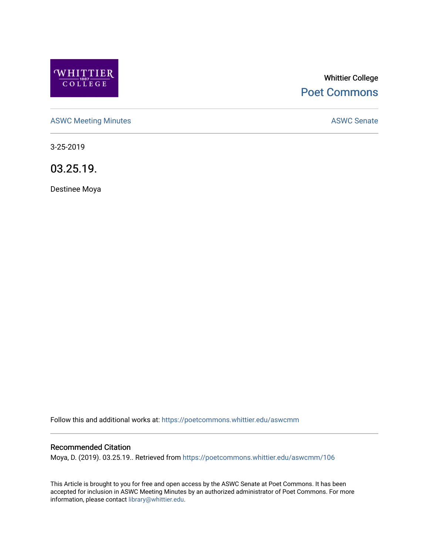

# Whittier College [Poet Commons](https://poetcommons.whittier.edu/)

[ASWC Meeting Minutes](https://poetcommons.whittier.edu/aswcmm) **ASWC Senate** 

3-25-2019

03.25.19.

Destinee Moya

Follow this and additional works at: [https://poetcommons.whittier.edu/aswcmm](https://poetcommons.whittier.edu/aswcmm?utm_source=poetcommons.whittier.edu%2Faswcmm%2F106&utm_medium=PDF&utm_campaign=PDFCoverPages)

#### Recommended Citation

Moya, D. (2019). 03.25.19.. Retrieved from [https://poetcommons.whittier.edu/aswcmm/106](https://poetcommons.whittier.edu/aswcmm/106?utm_source=poetcommons.whittier.edu%2Faswcmm%2F106&utm_medium=PDF&utm_campaign=PDFCoverPages)

This Article is brought to you for free and open access by the ASWC Senate at Poet Commons. It has been accepted for inclusion in ASWC Meeting Minutes by an authorized administrator of Poet Commons. For more information, please contact [library@whittier.edu.](mailto:library@whittier.edu)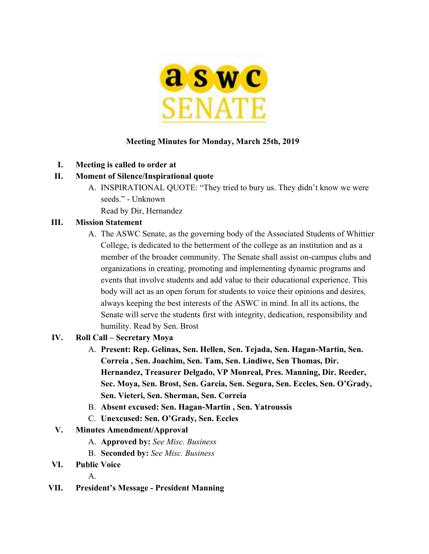

#### **Meeting Minutes for Monday, March 25th, 2019**

**I. Meeting is called to order at**

#### **II. Moment of Silence/Inspirational quote**

A. INSPIRATIONAL QUOTE: "They tried to bury us. They didn't know we were seeds." - Unknown Read by Dir, Hernandez

# **III. Mission Statement**

A. The ASWC Senate, as the governing body of the Associated Students of Whittier College, is dedicated to the betterment of the college as an institution and as a member of the broader community. The Senate shall assist on-campus clubs and organizations in creating, promoting and implementing dynamic programs and events that involve students and add value to their educational experience. This body will act as an open forum for students to voice their opinions and desires, always keeping the best interests of the ASWC in mind. In all its actions, the Senate will serve the students first with integrity, dedication, responsibility and humility. Read by Sen. Brost

#### **IV. Roll Call – Secretary Moya**

- A. **Present: Rep. Gelinas, Sen. Hellen, Sen. Tejada, Sen. Hagan-Martin, Sen. Correia , Sen. Joachim, Sen. Tam, Sen. Lindiwe, Sen Thomas, Dir. Hernandez, Treasurer Delgado, VP Monreal, Pres. Manning, Dir. Reeder, Sec. Moya, Sen. Brost, Sen. Garcia, Sen. Segura, Sen. Eccles, Sen. O'Grady, Sen. Vieteri, Sen. Sherman, Sen. Correia**
- B. **Absent excused: Sen. Hagan-Martin , Sen. Yatroussis**
- C. **Unexcused: Sen. O'Grady, Sen. Eccles**
- **V. Minutes Amendment/Approval**
	- A. **Approved by:** *See Misc. Business*
	- B. **Seconded by:** *See Misc. Business*
- **VI. Public Voice**

A.

**VII. President's Message - President Manning**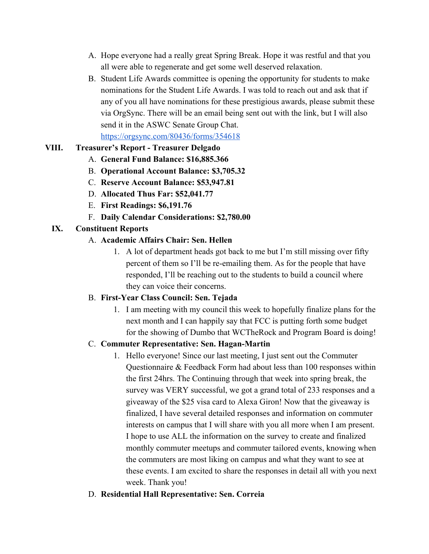- A. Hope everyone had a really great Spring Break. Hope it was restful and that you all were able to regenerate and get some well deserved relaxation.
- B. Student Life Awards committee is opening the opportunity for students to make nominations for the Student Life Awards. I was told to reach out and ask that if any of you all have nominations for these prestigious awards, please submit these via OrgSync. There will be an email being sent out with the link, but I will also send it in the ASWC Senate Group Chat.

<https://orgsync.com/80436/forms/354618>

# **VIII. Treasurer's Report - Treasurer Delgado**

- A. **General Fund Balance: \$16,885.366**
- B. **Operational Account Balance: \$3,705.32**
- C. **Reserve Account Balance: \$53,947.81**
- D. **Allocated Thus Far: \$52,041.77**
- E. **First Readings: \$6,191.76**
- F. **Daily Calendar Considerations: \$2,780.00**

# **IX. Constituent Reports**

- A. **Academic Affairs Chair: Sen. Hellen**
	- 1. A lot of department heads got back to me but I'm still missing over fifty percent of them so I'll be re-emailing them. As for the people that have responded, I'll be reaching out to the students to build a council where they can voice their concerns.

# B. **First-Year Class Council: Sen. Tejada**

1. I am meeting with my council this week to hopefully finalize plans for the next month and I can happily say that FCC is putting forth some budget for the showing of Dumbo that WCTheRock and Program Board is doing!

# C. **Commuter Representative: Sen. Hagan-Martin**

- 1. Hello everyone! Since our last meeting, I just sent out the Commuter Questionnaire & Feedback Form had about less than 100 responses within the first 24hrs. The Continuing through that week into spring break, the survey was VERY successful, we got a grand total of 233 responses and a giveaway of the \$25 visa card to Alexa Giron! Now that the giveaway is finalized, I have several detailed responses and information on commuter interests on campus that I will share with you all more when I am present. I hope to use ALL the information on the survey to create and finalized monthly commuter meetups and commuter tailored events, knowing when the commuters are most liking on campus and what they want to see at these events. I am excited to share the responses in detail all with you next week. Thank you!
- D. **Residential Hall Representative: Sen. Correia**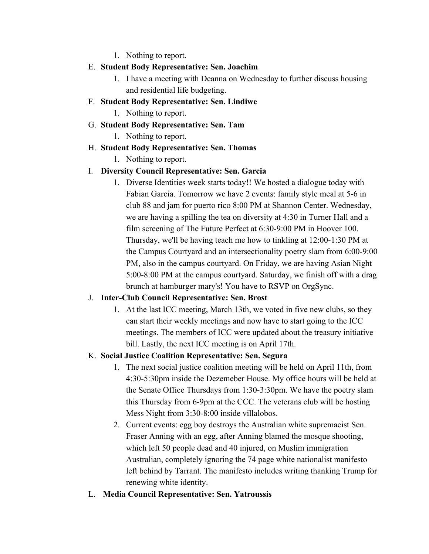1. Nothing to report.

#### E. **Student Body Representative: Sen. Joachim**

- 1. I have a meeting with Deanna on Wednesday to further discuss housing and residential life budgeting.
- F. **Student Body Representative: Sen. Lindiwe**

1. Nothing to report.

G. **Student Body Representative: Sen. Tam**

1. Nothing to report.

H. **Student Body Representative: Sen. Thomas**

1. Nothing to report.

# I. **Diversity Council Representative: Sen. Garcia**

1. Diverse Identities week starts today!! We hosted a dialogue today with Fabian Garcia. Tomorrow we have 2 events: family style meal at 5-6 in club 88 and jam for puerto rico 8:00 PM at Shannon Center. Wednesday, we are having a spilling the tea on diversity at 4:30 in Turner Hall and a film screening of The Future Perfect at 6:30-9:00 PM in Hoover 100. Thursday, we'll be having teach me how to tinkling at 12:00-1:30 PM at the Campus Courtyard and an intersectionality poetry slam from 6:00-9:00 PM, also in the campus courtyard. On Friday, we are having Asian Night 5:00-8:00 PM at the campus courtyard. Saturday, we finish off with a drag brunch at hamburger mary's! You have to RSVP on OrgSync.

# J. **Inter-Club Council Representative: Sen. Brost**

1. At the last ICC meeting, March 13th, we voted in five new clubs, so they can start their weekly meetings and now have to start going to the ICC meetings. The members of ICC were updated about the treasury initiative bill. Lastly, the next ICC meeting is on April 17th.

# K. **Social Justice Coalition Representative: Sen. Segura**

- 1. The next social justice coalition meeting will be held on April 11th, from 4:30-5:30pm inside the Dezemeber House. My office hours will be held at the Senate Office Thursdays from 1:30-3:30pm. We have the poetry slam this Thursday from 6-9pm at the CCC. The veterans club will be hosting Mess Night from 3:30-8:00 inside villalobos.
- 2. Current events: egg boy destroys the Australian white supremacist Sen. Fraser Anning with an egg, after Anning blamed the mosque shooting, which left 50 people dead and 40 injured, on Muslim immigration Australian, completely ignoring the 74 page white nationalist manifesto left behind by Tarrant. The manifesto includes writing thanking Trump for renewing white identity.
- L. **Media Council Representative: Sen. Yatroussis**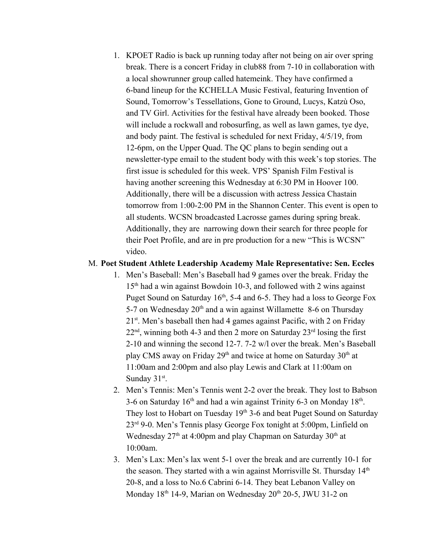1. KPOET Radio is back up running today after not being on air over spring break. There is a concert Friday in club88 from 7-10 in collaboration with a local showrunner group called hatemeink. They have confirmed a 6-band lineup for the KCHELLA Music Festival, featuring Invention of Sound, Tomorrow's Tessellations, Gone to Ground, Lucys, Katzù Oso, and TV Girl. Activities for the festival have already been booked. Those will include a rockwall and robosurfing, as well as lawn games, tye dye, and body paint. The festival is scheduled for next Friday, 4/5/19, from 12-6pm, on the Upper Quad. The QC plans to begin sending out a newsletter-type email to the student body with this week's top stories. The first issue is scheduled for this week. VPS' Spanish Film Festival is having another screening this Wednesday at 6:30 PM in Hoover 100. Additionally, there will be a discussion with actress Jessica Chastain tomorrow from 1:00-2:00 PM in the Shannon Center. This event is open to all students. WCSN broadcasted Lacrosse games during spring break. Additionally, they are narrowing down their search for three people for their Poet Profile, and are in pre production for a new "This is WCSN" video.

#### M. **Poet Student Athlete Leadership Academy Male Representative: Sen. Eccles**

- 1. Men's Baseball: Men's Baseball had 9 games over the break. Friday the 15<sup>th</sup> had a win against Bowdoin 10-3, and followed with 2 wins against Puget Sound on Saturday  $16<sup>th</sup>$ , 5-4 and 6-5. They had a loss to George Fox 5-7 on Wednesday  $20<sup>th</sup>$  and a win against Willamette 8-6 on Thursday 21<sup>st</sup>. Men's baseball then had 4 games against Pacific, with 2 on Friday  $22<sup>nd</sup>$ , winning both 4-3 and then 2 more on Saturday  $23<sup>rd</sup>$  losing the first 2-10 and winning the second 12-7. 7-2 w/l over the break. Men's Baseball play CMS away on Friday  $29<sup>th</sup>$  and twice at home on Saturday  $30<sup>th</sup>$  at 11:00am and 2:00pm and also play Lewis and Clark at 11:00am on Sunday  $31<sup>st</sup>$ .
- 2. Men's Tennis: Men's Tennis went 2-2 over the break. They lost to Babson 3-6 on Saturday  $16<sup>th</sup>$  and had a win against Trinity 6-3 on Monday  $18<sup>th</sup>$ . They lost to Hobart on Tuesday 19<sup>th</sup> 3-6 and beat Puget Sound on Saturday 23rd 9-0. Men's Tennis plasy George Fox tonight at 5:00pm, Linfield on Wednesday  $27<sup>th</sup>$  at 4:00pm and play Chapman on Saturday  $30<sup>th</sup>$  at 10:00am.
- 3. Men's Lax: Men's lax went 5-1 over the break and are currently 10-1 for the season. They started with a win against Morrisville St. Thursday  $14<sup>th</sup>$ 20-8, and a loss to No.6 Cabrini 6-14. They beat Lebanon Valley on Monday 18<sup>th</sup> 14-9, Marian on Wednesday 20<sup>th</sup> 20-5, JWU 31-2 on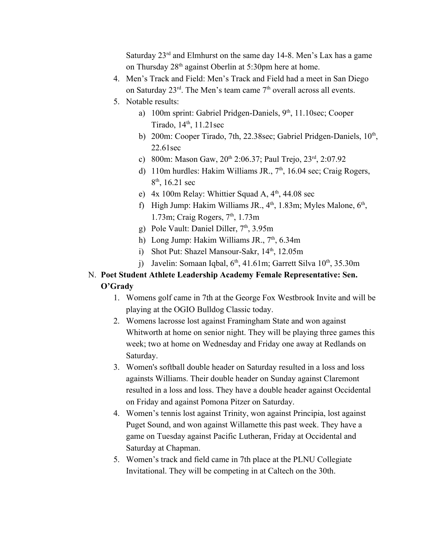Saturday  $23<sup>rd</sup>$  and Elmhurst on the same day 14-8. Men's Lax has a game on Thursday 28<sup>th</sup> against Oberlin at 5:30pm here at home.

- 4. Men's Track and Field: Men's Track and Field had a meet in San Diego on Saturday  $23^{\text{rd}}$ . The Men's team came  $7^{\text{th}}$  overall across all events.
- 5. Notable results:
	- a) 100m sprint: Gabriel Pridgen-Daniels, 9<sup>th</sup>, 11.10sec; Cooper Tirado, 14<sup>th</sup>, 11.21sec
	- b) 200m: Cooper Tirado, 7th, 22.38sec; Gabriel Pridgen-Daniels, 10<sup>th</sup>, 22.61sec
	- c) 800m: Mason Gaw, 20<sup>th</sup> 2:06.37; Paul Trejo, 23<sup>rd</sup>, 2:07.92
	- d) 110m hurdles: Hakim Williams JR.,  $7<sup>th</sup>$ , 16.04 sec; Craig Rogers,  $8<sup>th</sup>$ , 16.21 sec
	- e)  $4x 100m$  Relay: Whittier Squad A,  $4<sup>th</sup>$ , 44.08 sec
	- f) High Jump: Hakim Williams JR.,  $4<sup>th</sup>$ , 1.83m; Myles Malone,  $6<sup>th</sup>$ , 1.73m; Craig Rogers, 7<sup>th</sup>, 1.73m
	- g) Pole Vault: Daniel Diller,  $7<sup>th</sup>$ , 3.95m
	- h) Long Jump: Hakim Williams JR., 7<sup>th</sup>, 6.34m
	- i) Shot Put: Shazel Mansour-Sakr, 14<sup>th</sup>, 12.05m
	- j) Javelin: Somaan Iqbal,  $6<sup>th</sup>$ , 41.61m; Garrett Silva  $10<sup>th</sup>$ , 35.30m

#### N. **Poet Student Athlete Leadership Academy Female Representative: Sen. O'Grady**

- 1. Womens golf came in 7th at the George Fox Westbrook Invite and will be playing at the OGIO Bulldog Classic today.
- 2. Womens lacrosse lost against Framingham State and won against Whitworth at home on senior night. They will be playing three games this week; two at home on Wednesday and Friday one away at Redlands on Saturday.
- 3. Women's softball double header on Saturday resulted in a loss and loss againsts Williams. Their double header on Sunday against Claremont resulted in a loss and loss. They have a double header against Occidental on Friday and against Pomona Pitzer on Saturday.
- 4. Women's tennis lost against Trinity, won against Principia, lost against Puget Sound, and won against Willamette this past week. They have a game on Tuesday against Pacific Lutheran, Friday at Occidental and Saturday at Chapman.
- 5. Women's track and field came in 7th place at the PLNU Collegiate Invitational. They will be competing in at Caltech on the 30th.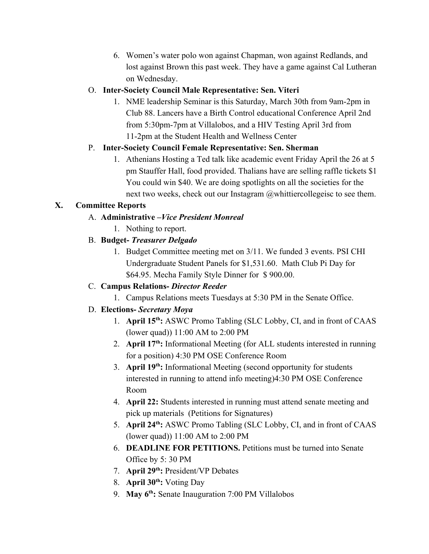6. Women's water polo won against Chapman, won against Redlands, and lost against Brown this past week. They have a game against Cal Lutheran on Wednesday.

# O. **Inter-Society Council Male Representative: Sen. Viteri**

1. NME leadership Seminar is this Saturday, March 30th from 9am-2pm in Club 88. Lancers have a Birth Control educational Conference April 2nd from 5:30pm-7pm at Villalobos, and a HIV Testing April 3rd from 11-2pm at the Student Health and Wellness Center

# P. **Inter-Society Council Female Representative: Sen. Sherman**

1. Athenians Hosting a Ted talk like academic event Friday April the 26 at 5 pm Stauffer Hall, food provided. Thalians have are selling raffle tickets \$1 You could win \$40. We are doing spotlights on all the societies for the next two weeks, check out our Instagram @whittiercollegeisc to see them.

# **X. Committee Reports**

# A. **Administrative –***Vice President Monreal*

1. Nothing to report.

# B. **Budget-** *Treasurer Delgado*

1. Budget Committee meeting met on 3/11. We funded 3 events. PSI CHI Undergraduate Student Panels for \$1,531.60. Math Club Pi Day for \$64.95. Mecha Family Style Dinner for \$ 900.00.

# C. **Campus Relations-** *Director Reeder*

1. Campus Relations meets Tuesdays at 5:30 PM in the Senate Office.

# D. **Elections-** *Secretary Moya*

- 1. **April 15th :** ASWC Promo Tabling (SLC Lobby, CI, and in front of CAAS (lower quad)) 11:00 AM to 2:00 PM
- 2. **April 17th :** Informational Meeting (for ALL students interested in running for a position) 4:30 PM OSE Conference Room
- 3. **April 19th :** Informational Meeting (second opportunity for students interested in running to attend info meeting)4:30 PM OSE Conference Room
- 4. **April 22:** Students interested in running must attend senate meeting and pick up materials (Petitions for Signatures)
- 5. **April 24th :** ASWC Promo Tabling (SLC Lobby, CI, and in front of CAAS (lower quad)) 11:00 AM to 2:00 PM
- 6. **DEADLINE FOR PETITIONS.** Petitions must be turned into Senate Office by 5: 30 PM
- 7. **April 29th :** President/VP Debates
- 8. **April 30th :** Voting Day
- 9. **May 6th :** Senate Inauguration 7:00 PM Villalobos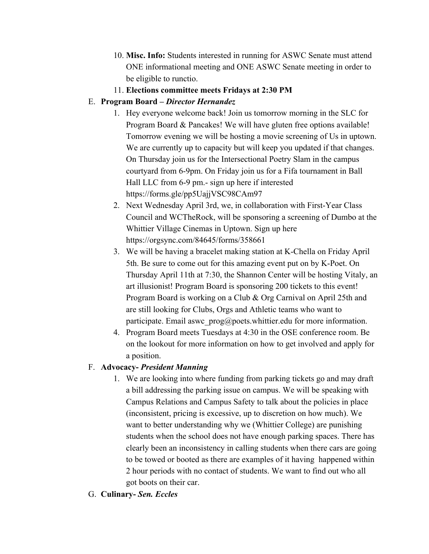- 10. **Misc. Info:** Students interested in running for ASWC Senate must attend ONE informational meeting and ONE ASWC Senate meeting in order to be eligible to runctio.
- 11. **Elections committee meets Fridays at 2:30 PM**

# E. **Program Board –** *Director Hernandez*

- 1. Hey everyone welcome back! Join us tomorrow morning in the SLC for Program Board & Pancakes! We will have gluten free options available! Tomorrow evening we will be hosting a movie screening of Us in uptown. We are currently up to capacity but will keep you updated if that changes. On Thursday join us for the Intersectional Poetry Slam in the campus courtyard from 6-9pm. On Friday join us for a Fifa tournament in Ball Hall LLC from 6-9 pm.- sign up here if interested https://forms.gle/pp5UajjVSC98CAm97
- 2. Next Wednesday April 3rd, we, in collaboration with First-Year Class Council and WCTheRock, will be sponsoring a screening of Dumbo at the Whittier Village Cinemas in Uptown. Sign up here https://orgsync.com/84645/forms/358661
- 3. We will be having a bracelet making station at K-Chella on Friday April 5th. Be sure to come out for this amazing event put on by K-Poet. On Thursday April 11th at 7:30, the Shannon Center will be hosting Vitaly, an art illusionist! Program Board is sponsoring 200 tickets to this event! Program Board is working on a Club & Org Carnival on April 25th and are still looking for Clubs, Orgs and Athletic teams who want to participate. Email aswe  $prog@poets.whittier.edu$  for more information.
- 4. Program Board meets Tuesdays at 4:30 in the OSE conference room. Be on the lookout for more information on how to get involved and apply for a position.

# F. **Advocacy-** *President Manning*

- 1. We are looking into where funding from parking tickets go and may draft a bill addressing the parking issue on campus. We will be speaking with Campus Relations and Campus Safety to talk about the policies in place (inconsistent, pricing is excessive, up to discretion on how much). We want to better understanding why we (Whittier College) are punishing students when the school does not have enough parking spaces. There has clearly been an inconsistency in calling students when there cars are going to be towed or booted as there are examples of it having happened within 2 hour periods with no contact of students. We want to find out who all got boots on their car.
- G. **Culinary-** *Sen. Eccles*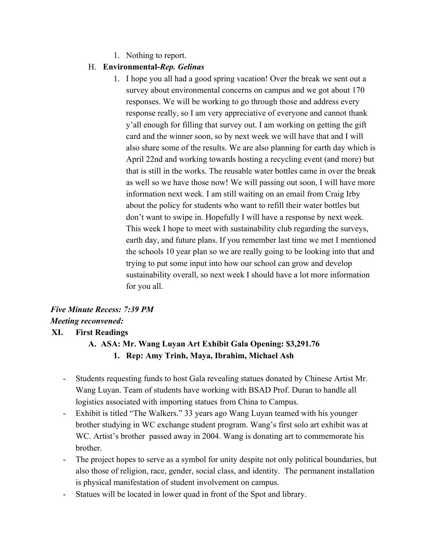1. Nothing to report.

#### H. **Environmental-***Rep. Gelinas*

1. I hope you all had a good spring vacation! Over the break we sent out a survey about environmental concerns on campus and we got about 170 responses. We will be working to go through those and address every response really, so I am very appreciative of everyone and cannot thank y'all enough for filling that survey out. I am working on getting the gift card and the winner soon, so by next week we will have that and I will also share some of the results. We are also planning for earth day which is April 22nd and working towards hosting a recycling event (and more) but that is still in the works. The reusable water bottles came in over the break as well so we have those now! We will passing out soon, I will have more information next week. I am still waiting on an email from Craig Irby about the policy for students who want to refill their water bottles but don't want to swipe in. Hopefully I will have a response by next week. This week I hope to meet with sustainability club regarding the surveys, earth day, and future plans. If you remember last time we met I mentioned the schools 10 year plan so we are really going to be looking into that and trying to put some input into how our school can grow and develop sustainability overall, so next week I should have a lot more information for you all.

# *Five Minute Recess: 7:39 PM Meeting reconvened:* **XI. First Readings**

# **A. ASA: Mr. Wang Luyan Art Exhibit Gala Opening: \$3,291.76 1. Rep: Amy Trinh, Maya, Ibrahim, Michael Ash**

- Students requesting funds to host Gala revealing statues donated by Chinese Artist Mr. Wang Luyan. Team of students have working with BSAD Prof. Duran to handle all logistics associated with importing statues from China to Campus.
- Exhibit is titled "The Walkers." 33 years ago Wang Luyan teamed with his younger brother studying in WC exchange student program. Wang's first solo art exhibit was at WC. Artist's brother passed away in 2004. Wang is donating art to commemorate his brother.
- The project hopes to serve as a symbol for unity despite not only political boundaries, but also those of religion, race, gender, social class, and identity. The permanent installation is physical manifestation of student involvement on campus.
- Statues will be located in lower quad in front of the Spot and library.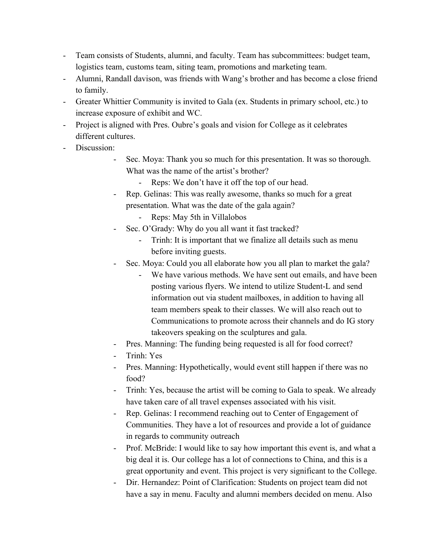- Team consists of Students, alumni, and faculty. Team has subcommittees: budget team, logistics team, customs team, siting team, promotions and marketing team.
- Alumni, Randall davison, was friends with Wang's brother and has become a close friend to family.
- Greater Whittier Community is invited to Gala (ex. Students in primary school, etc.) to increase exposure of exhibit and WC.
- Project is aligned with Pres. Oubre's goals and vision for College as it celebrates different cultures.
- Discussion:
	- Sec. Moya: Thank you so much for this presentation. It was so thorough. What was the name of the artist's brother?
		- Reps: We don't have it off the top of our head.
	- Rep. Gelinas: This was really awesome, thanks so much for a great presentation. What was the date of the gala again?
		- Reps: May 5th in Villalobos
	- Sec. O'Grady: Why do you all want it fast tracked?
		- Trinh: It is important that we finalize all details such as menu before inviting guests.
	- Sec. Moya: Could you all elaborate how you all plan to market the gala?
		- We have various methods. We have sent out emails, and have been posting various flyers. We intend to utilize Student-L and send information out via student mailboxes, in addition to having all team members speak to their classes. We will also reach out to Communications to promote across their channels and do IG story takeovers speaking on the sculptures and gala.
	- Pres. Manning: The funding being requested is all for food correct?
	- Trinh: Yes
	- Pres. Manning: Hypothetically, would event still happen if there was no food?
	- Trinh: Yes, because the artist will be coming to Gala to speak. We already have taken care of all travel expenses associated with his visit.
	- Rep. Gelinas: I recommend reaching out to Center of Engagement of Communities. They have a lot of resources and provide a lot of guidance in regards to community outreach
	- Prof. McBride: I would like to say how important this event is, and what a big deal it is. Our college has a lot of connections to China, and this is a great opportunity and event. This project is very significant to the College.
	- Dir. Hernandez: Point of Clarification: Students on project team did not have a say in menu. Faculty and alumni members decided on menu. Also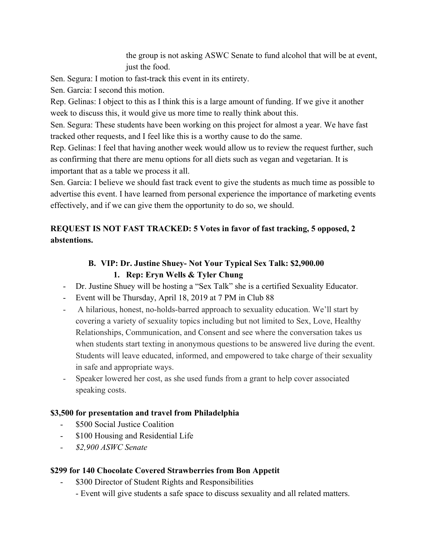the group is not asking ASWC Senate to fund alcohol that will be at event, just the food.

Sen. Segura: I motion to fast-track this event in its entirety.

Sen. Garcia: I second this motion.

Rep. Gelinas: I object to this as I think this is a large amount of funding. If we give it another week to discuss this, it would give us more time to really think about this.

Sen. Segura: These students have been working on this project for almost a year. We have fast tracked other requests, and I feel like this is a worthy cause to do the same.

Rep. Gelinas: I feel that having another week would allow us to review the request further, such as confirming that there are menu options for all diets such as vegan and vegetarian. It is important that as a table we process it all.

Sen. Garcia: I believe we should fast track event to give the students as much time as possible to advertise this event. I have learned from personal experience the importance of marketing events effectively, and if we can give them the opportunity to do so, we should.

# **REQUEST IS NOT FAST TRACKED: 5 Votes in favor of fast tracking, 5 opposed, 2 abstentions.**

# **B. VIP: Dr. Justine Shuey- Not Your Typical Sex Talk: \$2,900.00**

# **1. Rep: Eryn Wells & Tyler Chung**

- Dr. Justine Shuey will be hosting a "Sex Talk" she is a certified Sexuality Educator.
- Event will be Thursday, April 18, 2019 at 7 PM in Club 88
- A hilarious, honest, no-holds-barred approach to sexuality education. We'll start by covering a variety of sexuality topics including but not limited to Sex, Love, Healthy Relationships, Communication, and Consent and see where the conversation takes us when students start texting in anonymous questions to be answered live during the event. Students will leave educated, informed, and empowered to take charge of their sexuality in safe and appropriate ways.
- Speaker lowered her cost, as she used funds from a grant to help cover associated speaking costs.

# **\$3,500 for presentation and travel from Philadelphia**

- \$500 Social Justice Coalition
- \$100 Housing and Residential Life
- *- \$2,900 ASWC Senate*

# **\$299 for 140 Chocolate Covered Strawberries from Bon Appetit**

- \$300 Director of Student Rights and Responsibilities
	- Event will give students a safe space to discuss sexuality and all related matters.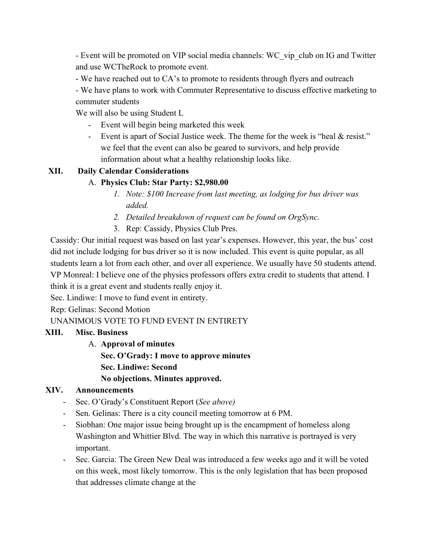- Event will be promoted on VIP social media channels: WC\_vip\_club on IG and Twitter and use WCTheRock to promote event.

- We have reached out to CA's to promote to residents through flyers and outreach

- We have plans to work with Commuter Representative to discuss effective marketing to commuter students

We will also be using Student L

- Event will begin being marketed this week
- Event is apart of Social Justice week. The theme for the week is "heal & resist." we feel that the event can also be geared to survivors, and help provide information about what a healthy relationship looks like.

# **XII. Daily Calendar Considerations**

# A. **Physics Club: Star Party: \$2,980.00**

- *1. Note: \$100 Increase from last meeting, as lodging for bus driver was added.*
- *2. Detailed breakdown of request can be found on OrgSync.*
- 3. Rep: Cassidy, Physics Club Pres.

Cassidy: Our initial request was based on last year's expenses. However, this year, the bus' cost did not include lodging for bus driver so it is now included. This event is quite popular, as all students learn a lot from each other, and over all experience. We usually have 50 students attend. VP Monreal: I believe one of the physics professors offers extra credit to students that attend. I think it is a great event and students really enjoy it.

Sec. Lindiwe: I move to fund event in entirety.

Rep: Gelinas: Second Motion

UNANIMOUS VOTE TO FUND EVENT IN ENTIRETY

# **XIII. Misc. Business**

A. **Approval of minutes**

**Sec. O'Grady: I move to approve minutes**

**Sec. Lindiwe: Second**

# **No objections. Minutes approved.**

#### **XIV. Announcements**

- Sec. O'Grady's Constituent Report (*See above)*
- Sen. Gelinas: There is a city council meeting tomorrow at 6 PM.
- Siobhan: One major issue being brought up is the encampment of homeless along Washington and Whittier Blvd. The way in which this narrative is portrayed is very important.
- Sec. Garcia: The Green New Deal was introduced a few weeks ago and it will be voted on this week, most likely tomorrow. This is the only legislation that has been proposed that addresses climate change at the